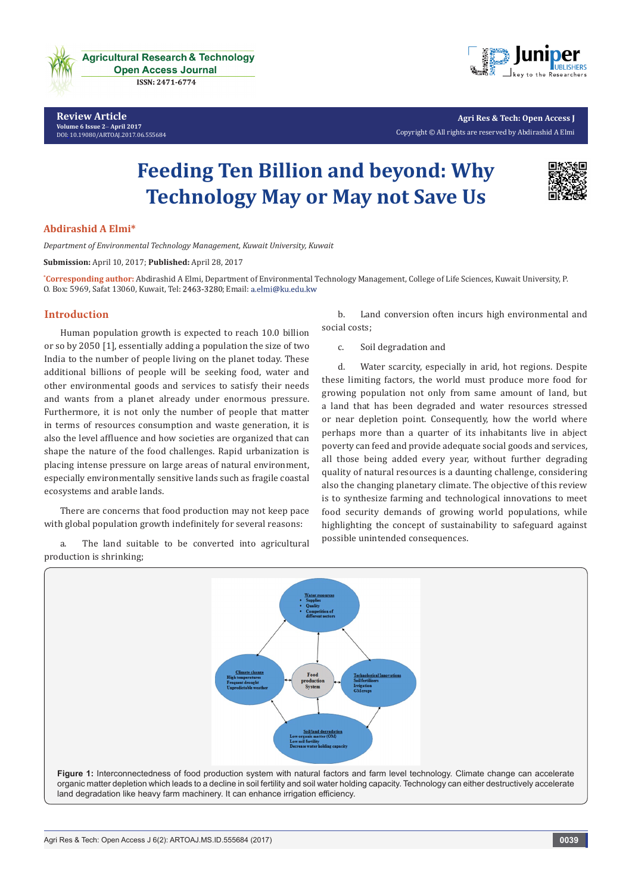

**Agricultural Research & Technology Open Access Journal ISSN: 2471-6774** 

**Review Article Volume 6 Issue 2**- **April 2017** [DOI:](http://dx.doi.org/10.19080/artoaj.2016.02.555590
) [10.19080/ARTOAJ.2017.06.555684](http://dx.doi.org/10.19080/artoaj.2017.06.555684)



**Agri Res & Tech: Open Access J** Copyright © All rights are reserved by Abdirashid A Elmi

# **Feeding Ten Billion and beyond: Why Technology May or May not Save Us**



## **Abdirashid A Elmi\***

*Department of Environmental Technology Management, Kuwait University, Kuwait*

**Submission:** April 10, 2017; **Published:** April 28, 2017

**\* Corresponding author:** Abdirashid A Elmi, Department of Environmental Technology Management, College of Life Sciences, Kuwait University, P. 0. Box: 5969, Safat 13060, Kuwait, Tel: 2463-3280; Email: a.elmi@ku.edu.kw

#### **Introduction**

Human population growth is expected to reach 10.0 billion or so by 2050 [1], essentially adding a population the size of two India to the number of people living on the planet today. These additional billions of people will be seeking food, water and other environmental goods and services to satisfy their needs and wants from a planet already under enormous pressure. Furthermore, it is not only the number of people that matter in terms of resources consumption and waste generation, it is also the level affluence and how societies are organized that can shape the nature of the food challenges. Rapid urbanization is placing intense pressure on large areas of natural environment, especially environmentally sensitive lands such as fragile coastal ecosystems and arable lands.

There are concerns that food production may not keep pace with global population growth indefinitely for several reasons:

The land suitable to be converted into agricultural production is shrinking;

b. Land conversion often incurs high environmental and social costs;

c. Soil degradation and

d. Water scarcity, especially in arid, hot regions. Despite these limiting factors, the world must produce more food for growing population not only from same amount of land, but a land that has been degraded and water resources stressed or near depletion point. Consequently, how the world where perhaps more than a quarter of its inhabitants live in abject poverty can feed and provide adequate social goods and services, all those being added every year, without further degrading quality of natural resources is a daunting challenge, considering also the changing planetary climate. The objective of this review is to synthesize farming and technological innovations to meet food security demands of growing world populations, while highlighting the concept of sustainability to safeguard against possible unintended consequences.

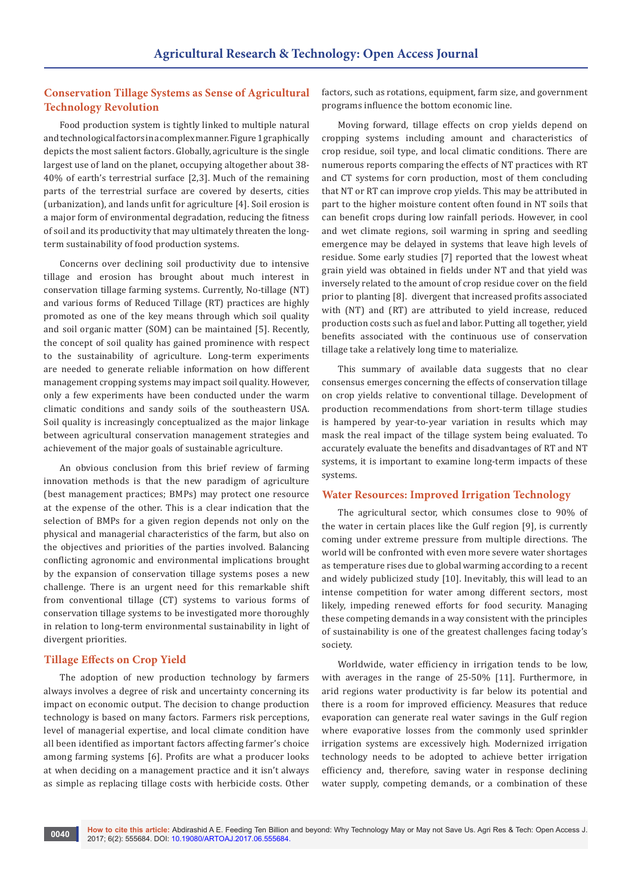## **Conservation Tillage Systems as Sense of Agricultural Technology Revolution**

Food production system is tightly linked to multiple natural and technological factors in a complex manner. Figure 1 graphically depicts the most salient factors. Globally, agriculture is the single largest use of land on the planet, occupying altogether about 38- 40% of earth's terrestrial surface [2,3]. Much of the remaining parts of the terrestrial surface are covered by deserts, cities (urbanization), and lands unfit for agriculture [4]. Soil erosion is a major form of environmental degradation, reducing the fitness of soil and its productivity that may ultimately threaten the longterm sustainability of food production systems.

Concerns over declining soil productivity due to intensive tillage and erosion has brought about much interest in conservation tillage farming systems. Currently, No-tillage (NT) and various forms of Reduced Tillage (RT) practices are highly promoted as one of the key means through which soil quality and soil organic matter (SOM) can be maintained [5]. Recently, the concept of soil quality has gained prominence with respect to the sustainability of agriculture. Long-term experiments are needed to generate reliable information on how different management cropping systems may impact soil quality. However, only a few experiments have been conducted under the warm climatic conditions and sandy soils of the southeastern USA. Soil quality is increasingly conceptualized as the major linkage between agricultural conservation management strategies and achievement of the major goals of sustainable agriculture.

An obvious conclusion from this brief review of farming innovation methods is that the new paradigm of agriculture (best management practices; BMPs) may protect one resource at the expense of the other. This is a clear indication that the selection of BMPs for a given region depends not only on the physical and managerial characteristics of the farm, but also on the objectives and priorities of the parties involved. Balancing conflicting agronomic and environmental implications brought by the expansion of conservation tillage systems poses a new challenge. There is an urgent need for this remarkable shift from conventional tillage (CT) systems to various forms of conservation tillage systems to be investigated more thoroughly in relation to long-term environmental sustainability in light of divergent priorities.

## **Tillage Effects on Crop Yield**

The adoption of new production technology by farmers always involves a degree of risk and uncertainty concerning its impact on economic output. The decision to change production technology is based on many factors. Farmers risk perceptions, level of managerial expertise, and local climate condition have all been identified as important factors affecting farmer's choice among farming systems [6]. Profits are what a producer looks at when deciding on a management practice and it isn't always as simple as replacing tillage costs with herbicide costs. Other

factors, such as rotations, equipment, farm size, and government programs influence the bottom economic line.

Moving forward, tillage effects on crop yields depend on cropping systems including amount and characteristics of crop residue, soil type, and local climatic conditions. There are numerous reports comparing the effects of NT practices with RT and CT systems for corn production, most of them concluding that NT or RT can improve crop yields. This may be attributed in part to the higher moisture content often found in NT soils that can benefit crops during low rainfall periods. However, in cool and wet climate regions, soil warming in spring and seedling emergence may be delayed in systems that leave high levels of residue. Some early studies [7] reported that the lowest wheat grain yield was obtained in fields under NT and that yield was inversely related to the amount of crop residue cover on the field prior to planting [8]. divergent that increased profits associated with (NT) and (RT) are attributed to yield increase, reduced production costs such as fuel and labor. Putting all together, yield benefits associated with the continuous use of conservation tillage take a relatively long time to materialize.

This summary of available data suggests that no clear consensus emerges concerning the effects of conservation tillage on crop yields relative to conventional tillage. Development of production recommendations from short-term tillage studies is hampered by year-to-year variation in results which may mask the real impact of the tillage system being evaluated. To accurately evaluate the benefits and disadvantages of RT and NT systems, it is important to examine long-term impacts of these systems.

## **Water Resources: Improved Irrigation Technology**

The agricultural sector, which consumes close to 90% of the water in certain places like the Gulf region [9], is currently coming under extreme pressure from multiple directions. The world will be confronted with even more severe water shortages as temperature rises due to global warming according to a recent and widely publicized study [10]. Inevitably, this will lead to an intense competition for water among different sectors, most likely, impeding renewed efforts for food security. Managing these competing demands in a way consistent with the principles of sustainability is one of the greatest challenges facing today's society.

Worldwide, water efficiency in irrigation tends to be low, with averages in the range of 25-50% [11]. Furthermore, in arid regions water productivity is far below its potential and there is a room for improved efficiency. Measures that reduce evaporation can generate real water savings in the Gulf region where evaporative losses from the commonly used sprinkler irrigation systems are excessively high. Modernized irrigation technology needs to be adopted to achieve better irrigation efficiency and, therefore, saving water in response declining water supply, competing demands, or a combination of these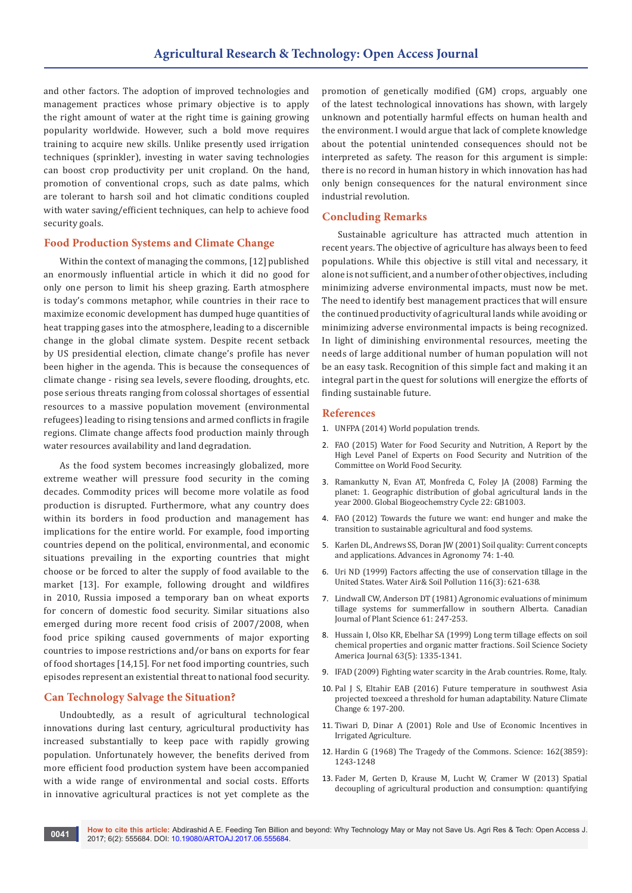and other factors. The adoption of improved technologies and management practices whose primary objective is to apply the right amount of water at the right time is gaining growing popularity worldwide. However, such a bold move requires training to acquire new skills. Unlike presently used irrigation techniques (sprinkler), investing in water saving technologies can boost crop productivity per unit cropland. On the hand, promotion of conventional crops, such as date palms, which are tolerant to harsh soil and hot climatic conditions coupled with water saving/efficient techniques, can help to achieve food security goals.

#### **Food Production Systems and Climate Change**

Within the context of managing the commons, [12] published an enormously influential article in which it did no good for only one person to limit his sheep grazing. Earth atmosphere is today's commons metaphor, while countries in their race to maximize economic development has dumped huge quantities of heat trapping gases into the atmosphere, leading to a discernible change in the global climate system. Despite recent setback by US presidential election, climate change's profile has never been higher in the agenda. This is because the consequences of climate change - rising sea levels, severe flooding, droughts, etc. pose serious threats ranging from colossal shortages of essential resources to a massive population movement (environmental refugees) leading to rising tensions and armed conflicts in fragile regions. Climate change affects food production mainly through water resources availability and land degradation.

As the food system becomes increasingly globalized, more extreme weather will pressure food security in the coming decades. Commodity prices will become more volatile as food production is disrupted. Furthermore, what any country does within its borders in food production and management has implications for the entire world. For example, food importing countries depend on the political, environmental, and economic situations prevailing in the exporting countries that might choose or be forced to alter the supply of food available to the market [13]. For example, following drought and wildfires in 2010, Russia imposed a temporary ban on wheat exports for concern of domestic food security. Similar situations also emerged during more recent food crisis of 2007/2008, when food price spiking caused governments of major exporting countries to impose restrictions and/or bans on exports for fear of food shortages [14,15]. For net food importing countries, such episodes represent an existential threat to national food security.

#### **Can Technology Salvage the Situation?**

Undoubtedly, as a result of agricultural technological innovations during last century, agricultural productivity has increased substantially to keep pace with rapidly growing population. Unfortunately however, the benefits derived from more efficient food production system have been accompanied with a wide range of environmental and social costs. Efforts in innovative agricultural practices is not yet complete as the

promotion of genetically modified (GM) crops, arguably one of the latest technological innovations has shown, with largely unknown and potentially harmful effects on human health and the environment. I would argue that lack of complete knowledge about the potential unintended consequences should not be interpreted as safety. The reason for this argument is simple: there is no record in human history in which innovation has had only benign consequences for the natural environment since industrial revolution.

#### **Concluding Remarks**

Sustainable agriculture has attracted much attention in recent years. The objective of agriculture has always been to feed populations. While this objective is still vital and necessary, it alone is not sufficient, and a number of other objectives, including minimizing adverse environmental impacts, must now be met. The need to identify best management practices that will ensure the continued productivity of agricultural lands while avoiding or minimizing adverse environmental impacts is being recognized. In light of diminishing environmental resources, meeting the needs of large additional number of human population will not be an easy task. Recognition of this simple fact and making it an integral part in the quest for solutions will energize the efforts of finding sustainable future.

#### **References**

- 1. [UNFPA \(2014\) World population trends.](http://www.unfpa.org/)
- 2. FAO (2015) Water for Food Security and Nutrition, A Report by the High Level Panel of Experts on Food Security and Nutrition of the Committee on World Food Security.
- 3. [Ramankutty N, Evan AT, Monfreda C, Foley JA \(2008\) Farming the](https://www.gtap.agecon.purdue.edu/resources/download/2980.pdf)  [planet: 1. Geographic distribution of global agricultural lands in the](https://www.gtap.agecon.purdue.edu/resources/download/2980.pdf)  [year 2000. Global Biogeochemstry Cycle 22: GB1003.](https://www.gtap.agecon.purdue.edu/resources/download/2980.pdf)
- 4. [FAO \(2012\) Towards the future we want: end hunger and make the](http://www.fao.org/docrep/015/an908e/an908e00.pdf)  [transition to sustainable agricultural and food systems.](http://www.fao.org/docrep/015/an908e/an908e00.pdf)
- 5. Karlen DL, Andrews SS, Doran JW (2001) Soil quality: Current concepts and applications. Advances in Agronomy 74: 1-40.
- 6. [Uri ND \(1999\) Factors affecting the use of conservation tillage in the](http://link.springer.com/article/10.1023/A:1005168928627)  [United States. Water Air& Soil Pollution 116\(3\): 621-638.](http://link.springer.com/article/10.1023/A:1005168928627)
- 7. Lindwall CW, Anderson DT (1981) Agronomic evaluations of minimum tillage systems for summerfallow in southern Alberta. Canadian Journal of Plant Science 61: 247-253.
- 8. [Hussain I, Olso KR, Ebelhar SA \(1999\) Long term tillage effects on soil](https://dl.sciencesocieties.org/publications/sssaj/abstracts/63/5/1335)  [chemical properties and organic matter fractions. Soil Science Society](https://dl.sciencesocieties.org/publications/sssaj/abstracts/63/5/1335)  [America Journal 63\(5\): 1335-1341.](https://dl.sciencesocieties.org/publications/sssaj/abstracts/63/5/1335)
- 9. IFAD (2009) Fighting water scarcity in the Arab countries. Rome, Italy.
- 10. [Pal J S, Eltahir EAB \(2016\) Future temperature in southwest Asia](http://www.nature.com/nclimate/journal/v6/n2/full/nclimate2833.html)  [projected toexceed a threshold for human adaptability. Nature Climate](http://www.nature.com/nclimate/journal/v6/n2/full/nclimate2833.html)  [Change 6: 197-200.](http://www.nature.com/nclimate/journal/v6/n2/full/nclimate2833.html)
- 11. Tiwari D, Dinar A (2001) Role and Use of Economic Incentives in Irrigated Agriculture.
- 12. Hardin G (1968) The Tragedy of the Commons. Science: 162(3859): 1243-1248
- 13. [Fader M, Gerten D, Krause M, Lucht W, Cramer W \(2013\) Spatial](http://iopscience.iop.org/article/10.1088/1748-9326/8/1/014046)  [decoupling of agricultural production and consumption: quantifying](http://iopscience.iop.org/article/10.1088/1748-9326/8/1/014046)